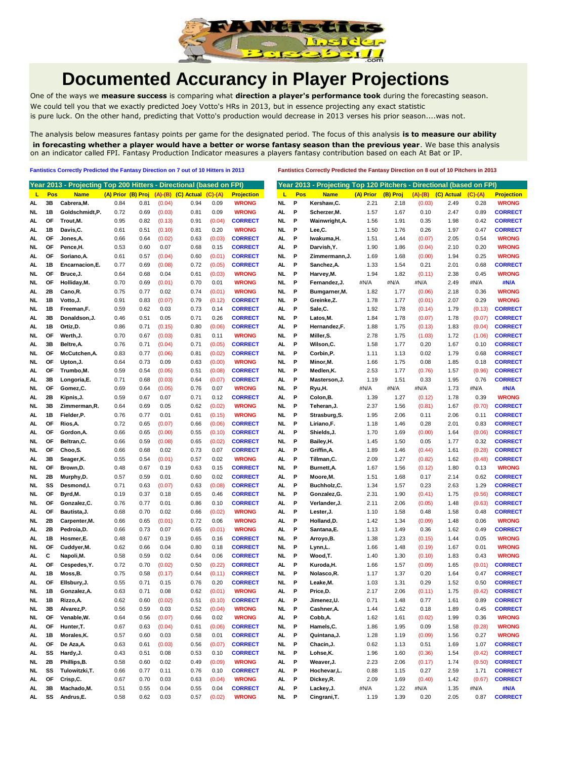

## **Documented Accurancy in Player Projections**

One of the ways we **measure success** is comparing what **direction a player's performance took** during the forecasting season. We could tell you that we exactly predicted Joey Votto's HRs in 2013, but in essence projecting any exact statistic is pure luck. On the other hand, predicting that Votto's production would decrease in 2013 verses his prior season....was not.

The analysis below measures fantasy points per game for the designated period. The focus of this analysis **is to measure our ability in forecasting whether a player would have a better or worse fantasy season than the previous year**. We base this analysis on an indicator called FPI. Fantasy Production Indicator measures a players fantasy contribution based on each At Bat or IP.

**Fantistics Correctly Predicted the Fantasy Direction on 7 out of 10 Hitters in 2013 Fantistics Correctly Predicted the Fantasy Direction on 8 out of 10 Pitchers in 2013**

|          |            | Year 2013 - Projecting Top 200 Hitters - Directional (based on FPI) |      |                    |        |                            |                  |                   |           |                    |                        |          |                |              | Year 2013 - Projecting Top 120 Pitchers - Directional (based on FPI) |
|----------|------------|---------------------------------------------------------------------|------|--------------------|--------|----------------------------|------------------|-------------------|-----------|--------------------|------------------------|----------|----------------|--------------|----------------------------------------------------------------------|
| L        | <b>Pos</b> | <b>Name</b>                                                         |      | (A) Prior (B) Proj |        | $(A)$ - $(B)$ $(C)$ Actual | $(C)-(A)$        | <b>Projection</b> | τ         | Pos<br><b>Name</b> | (A) Prior              | (B) Proj | $(A)-(B)$      | (C) Actual   | $(C)-(A)$                                                            |
| AL       | 3B         | Cabrera, M.                                                         | 0.84 | 0.81               | (0.04) | 0.94                       | 0.09             | <b>WRONG</b>      | NL<br>Р   | Kershaw,C.         | 2.21                   | 2.18     | (0.03)         | 2.49         | 0.28                                                                 |
| NL       | 1B         | Goldschmidt,P.                                                      | 0.72 | 0.69               | (0.03) | 0.81                       | 0.09             | <b>WRONG</b>      | P<br>AL   | Scherzer, M.       | 1.57                   | 1.67     | 0.10           | 2.47         | 0.89                                                                 |
| AL       | OF         | Trout, M.                                                           | 0.95 | 0.82               | (0.13) | 0.91                       | (0.04)           | <b>CORRECT</b>    | P<br>NL   | Wainwright, A.     | 1.56                   | 1.91     | 0.35           | 1.98         | 0.42                                                                 |
| AL.      | 1B         | Davis.C.                                                            | 0.61 | 0.51               | (0.10) | 0.81                       | 0.20             | <b>WRONG</b>      | P<br>NL   | Lee,C.             | 1.50                   | 1.76     | 0.26           | 1.97         | 0.47                                                                 |
| AL       | <b>OF</b>  | Jones, A.                                                           | 0.66 | 0.64               | (0.02) | 0.63                       | (0.03)           | <b>CORRECT</b>    | AL<br>P   | Iwakuma, H.        | 1.51                   | 1.44     | (0.07)         | 2.05         | 0.54                                                                 |
| NL.      | <b>OF</b>  | Pence,H.                                                            | 0.53 | 0.60               | 0.07   | 0.68                       | 0.15             | <b>CORRECT</b>    | AL.<br>P  | Darvish, Y.        | 1.90                   | 1.86     | (0.04)         | 2.10         | 0.20                                                                 |
| AL       | OF         | Soriano, A.                                                         | 0.61 | 0.57               | (0.04) | 0.60                       | (0.01)           | <b>CORRECT</b>    | NL<br>P   |                    | Zimmermann, J.<br>1.69 | 1.68     | (0.00)         | 1.94         | 0.25                                                                 |
| AL       | 1B         | Encarnacion, E.                                                     | 0.77 | 0.69               | (0.08) | 0.72                       | (0.05)           | <b>CORRECT</b>    | AL<br>P   | Sanchez, A.        | 1.33                   | 1.54     | 0.21           | 2.01         | 0.68                                                                 |
| NL       | OF         | Bruce.J.                                                            | 0.64 | 0.68               | 0.04   | 0.61                       | (0.03)           | <b>WRONG</b>      | P<br>NL   | Harvey, M.         | 1.94                   | 1.82     | (0.11)         | 2.38         | 0.45                                                                 |
| NL.      | OF         | Holliday, M.                                                        | 0.70 | 0.69               | (0.01) | 0.70                       | 0.01             | <b>WRONG</b>      | NL<br>P   | Fernandez, J.      | #N/A                   | #N/A     | #N/A           | 2.49         | #N/A                                                                 |
| AL       | 2Β         | Cano, R.                                                            | 0.75 | 0.77               | 0.02   | 0.74                       | (0.01)           | <b>WRONG</b>      | P<br>NL   | Bumgarner, M.      | 1.82                   | 1.77     | (0.06)         | 2.18         | 0.36                                                                 |
| NL.      | 1B         | Votto, J.                                                           | 0.91 | 0.83               | (0.07) | 0.79                       | (0.12)           | <b>CORRECT</b>    | P<br>NL.  | Greinke,Z.         | 1.78                   | 1.77     | (0.01)         | 2.07         | 0.29                                                                 |
| NL       | 1B         | Freeman,F.                                                          | 0.59 | 0.62               | 0.03   | 0.73                       | 0.14             | <b>CORRECT</b>    | AL<br>Ρ   | Sale, C.           | 1.92                   | 1.78     | (0.14)         | 1.79         | (0.13)                                                               |
| AL       | 3B         | Donaldson, J.                                                       | 0.46 | 0.51               | 0.05   | 0.71                       | 0.26             | <b>CORRECT</b>    | NL.<br>P  | Latos, M.          | 1.84                   | 1.78     | (0.07)         | 1.78         | (0.07)                                                               |
| AL       | 1B         | Ortiz, D.                                                           | 0.86 | 0.71               | (0.15) | 0.80                       | (0.06)           | <b>CORRECT</b>    | AL<br>Р   | Hernandez,F.       | 1.88                   | 1.75     | (0.13)         | 1.83         | (0.04)                                                               |
| NL       | OF         | Werth, J.                                                           | 0.70 | 0.67               | (0.03) | 0.81                       | 0.11             | <b>WRONG</b>      | NL<br>P   | Miller, S.         | 2.78                   | 1.75     | (1.03)         | 1.72         | (1.06)                                                               |
| AL       | 3B         | Beltre, A.                                                          | 0.76 | 0.71               | (0.04) | 0.71                       | (0.05)           | <b>CORRECT</b>    | P<br>AL.  | Wilson,C.          | 1.58                   | 1.77     | 0.20           | 1.67         | 0.10                                                                 |
| NL.      | ΟF         | McCutchen, A.                                                       | 0.83 | 0.77               | (0.06) | 0.81                       | (0.02)           | <b>CORRECT</b>    | P<br>NL.  | Corbin,P.          | 1.11                   | 1.13     | 0.02           | 1.79         | 0.68                                                                 |
| NL       | OF         | Upton, J.                                                           | 0.64 | 0.73               | 0.09   | 0.63                       | (0.00)           | <b>WRONG</b>      | P<br>NL   | Minor, M.          | 1.66                   | 1.75     | 0.08           | 1.85         | 0.18                                                                 |
|          | <b>OF</b>  | Trumbo,M.                                                           | 0.59 |                    | (0.05) | 0.51                       |                  | <b>CORRECT</b>    | NL.<br>P  | Medlen, K.         | 2.53                   | 1.77     |                |              |                                                                      |
| AL<br>AL | 3B         |                                                                     | 0.71 | 0.54<br>0.68       | (0.03) | 0.64                       | (0.08)<br>(0.07) | <b>CORRECT</b>    | AL<br>P   | Masterson, J.      | 1.19                   | 1.51     | (0.76)<br>0.33 | 1.57<br>1.95 | (0.96)<br>0.76                                                       |
|          | OF         | Longoria,E.                                                         | 0.69 |                    |        | 0.76                       |                  | <b>WRONG</b>      | P         |                    | #N/A                   |          |                |              |                                                                      |
| NL       | 2B         | Gomez,C.                                                            | 0.59 | 0.64               | (0.05) |                            | 0.07<br>0.12     | <b>CORRECT</b>    | NL<br>Р   | Ryu,H.             |                        | #N/A     | #N/A           | 1.73         | #N/A<br>0.39                                                         |
| AL       |            | Kipnis, J.                                                          |      | 0.67               | 0.07   | 0.71                       |                  |                   | AL        | Colon, B.          | 1.39                   | 1.27     | (0.12)         | 1.78         |                                                                      |
| NL       | 3В         | Zimmerman, R.                                                       | 0.64 | 0.69               | 0.05   | 0.62                       | (0.02)           | <b>WRONG</b>      | P<br>NL.  | Teheran, J.        | 2.37                   | 1.56     | (0.81)         | 1.67         | (0.70)                                                               |
| AL       | 1B         | Fielder,P.                                                          | 0.76 | 0.77               | 0.01   | 0.61                       | (0.15)           | <b>WRONG</b>      | NL<br>P   | Strasburg, S.      | 1.95                   | 2.06     | 0.11           | 2.06         | 0.11                                                                 |
| AL.      | ΟF         | Rios, A.                                                            | 0.72 | 0.65               | (0.07) | 0.66                       | (0.06)           | <b>CORRECT</b>    | P<br>NL.  | Liriano.F.         | 1.18                   | 1.46     | 0.28           | 2.01         | 0.83                                                                 |
| AL.      | OF         | Gordon, A.                                                          | 0.66 | 0.65               | (0.00) | 0.55                       | (0.10)           | <b>CORRECT</b>    | P<br>AL.  | Shields, J.        | 1.70                   | 1.69     | (0.00)         | 1.64         | (0.06)                                                               |
| NL.      | <b>OF</b>  | Beltran, C.                                                         | 0.66 | 0.59               | (0.08) | 0.65                       | (0.02)           | <b>CORRECT</b>    | NL<br>P   | Bailey, H.         | 1.45                   | 1.50     | 0.05           | 1.77         | 0.32                                                                 |
| NL.      | OF         | Choo,S.                                                             | 0.66 | 0.68               | 0.02   | 0.73                       | 0.07             | <b>CORRECT</b>    | AL<br>Р   | Griffin, A.        | 1.89                   | 1.46     | (0.44)         | 1.61         | (0.28)                                                               |
| AL       | 3B         | Seager, K.                                                          | 0.55 | 0.54               | (0.01) | 0.57                       | 0.02             | <b>WRONG</b>      | Р<br>AL.  | Tillman,C.         | 2.09                   | 1.27     | (0.82)         | 1.62         | (0.48)                                                               |
| NL.      | OF         | Brown, D.                                                           | 0.48 | 0.67               | 0.19   | 0.63                       | 0.15             | <b>CORRECT</b>    | P<br>NL   | Burnett, A.        | 1.67                   | 1.56     | (0.12)         | 1.80         | 0.13                                                                 |
| NL       | 2Β         | Murphy,D.                                                           | 0.57 | 0.59               | 0.01   | 0.60                       | 0.02             | <b>CORRECT</b>    | P<br>AL   | Moore, M.          | 1.51                   | 1.68     | 0.17           | 2.14         | 0.62                                                                 |
| NL.      | SS         | Desmond,I.                                                          | 0.71 | 0.63               | (0.07) | 0.63                       | (0.08)           | <b>CORRECT</b>    | P<br>AL.  | Buchholz,C.        | 1.34                   | 1.57     | 0.23           | 2.63         | 1.29                                                                 |
| NL       | OF         | Byrd,M.                                                             | 0.19 | 0.37               | 0.18   | 0.65                       | 0.46             | <b>CORRECT</b>    | P<br>NL   | Gonzalez, G.       | 2.31                   | 1.90     | (0.41)         | 1.75         | (0.56)                                                               |
| NL.      | <b>OF</b>  | Gonzalez, C.                                                        | 0.76 | 0.77               | 0.01   | 0.86                       | 0.10             | <b>CORRECT</b>    | AL.<br>P  | Verlander, J.      | 2.11                   | 2.06     | (0.05)         | 1.48         | (0.63)                                                               |
| AL       | <b>OF</b>  | Bautista, J.                                                        | 0.68 | 0.70               | 0.02   | 0.66                       | (0.02)           | <b>WRONG</b>      | AL<br>P   | Lester, J.         | 1.10                   | 1.58     | 0.48           | 1.58         | 0.48                                                                 |
| NL       | 2B         | Carpenter, M.                                                       | 0.66 | 0.65               | (0.01) | 0.72                       | 0.06             | <b>WRONG</b>      | AL<br>P   | Holland, D.        | 1.42                   | 1.34     | (0.09)         | 1.48         | 0.06                                                                 |
| AL       | 2B         | Pedroia,D.                                                          | 0.66 | 0.73               | 0.07   | 0.65                       | (0.01)           | <b>WRONG</b>      | AL<br>Р   | Santana, E.        | 1.13                   | 1.49     | 0.36           | 1.62         | 0.49                                                                 |
| AL       | 1В         | Hosmer,E.                                                           | 0.48 | 0.67               | 0.19   | 0.65                       | 0.16             | <b>CORRECT</b>    | P<br>NL.  | Arroyo, B.         | 1.38                   | 1.23     | (0.15)         | 1.44         | 0.05                                                                 |
| NL       | OF         | Cuddyer, M.                                                         | 0.62 | 0.66               | 0.04   | 0.80                       | 0.18             | <b>CORRECT</b>    | P<br>NL   | Lynn,L.            | 1.66                   | 1.48     | (0.19)         | 1.67         | 0.01                                                                 |
| AL.      | С          | Napoli, M.                                                          | 0.58 | 0.59               | 0.02   | 0.64                       | 0.06             | <b>CORRECT</b>    | P<br>NL.  | Wood, T.           | 1.40                   | 1.30     | (0.10)         | 1.83         | 0.43                                                                 |
| AL.      | OF         | Cespedes, Y.                                                        | 0.72 | 0.70               | (0.02) | 0.50                       | (0.22)           | <b>CORRECT</b>    | P<br>AL.  | Kuroda, H.         | 1.66                   | 1.57     | (0.09)         | 1.65         | (0.01)                                                               |
|          | 1B         |                                                                     | 0.75 |                    | (0.17) | 0.64                       | (0.11)           | <b>CORRECT</b>    | NL.<br>P  | Nolasco, R.        | 1.17                   | 1.37     | 0.20           | 1.64         | 0.47                                                                 |
| AL       |            | Moss,B.                                                             |      | 0.58               |        |                            |                  |                   |           |                    |                        |          |                |              |                                                                      |
| AL       | OF         | Ellsbury, J.                                                        | 0.55 | 0.71               | 0.15   | 0.76                       | 0.20             | <b>CORRECT</b>    | P<br>NL   | Leake, M.          | 1.03                   | 1.31     | 0.29           | 1.52         | 0.50                                                                 |
| NL       | 1B         | Gonzalez, A.                                                        | 0.63 | 0.71               | 0.08   | 0.62                       | (0.01)           | <b>WRONG</b>      | Р<br>AL   | Price,D.           | 2.17                   | 2.06     | (0.11)         | 1.75         | (0.42)                                                               |
| NL.      | 1B         | Rizzo, A.                                                           | 0.62 | 0.60               | (0.02) | 0.51                       | (0.10)           | <b>CORRECT</b>    | P<br>AL.  | Jimenez,U.         | 0.71                   | 1.48     | 0.77           | 1.61         | 0.89                                                                 |
| NL       | 3B         | Alvarez,P.                                                          | 0.56 | 0.59               | 0.03   | 0.52                       | (0.04)           | <b>WRONG</b>      | NL<br>P   | Cashner, A.        | 1.44                   | 1.62     | 0.18           | 1.89         | 0.45                                                                 |
| NL       | ΟF         | Venable, W.                                                         | 0.64 | 0.56               | (0.07) | 0.66                       | 0.02             | <b>WRONG</b>      | AL<br>P   | Cobb, A.           | 1.62                   | 1.61     | (0.02)         | 1.99         | 0.36                                                                 |
| AL       | OF         | Hunter, T.                                                          | 0.67 | 0.63               | (0.04) | 0.61                       | (0.06)           | <b>CORRECT</b>    | NL<br>P   | Hamels, C.         | 1.86                   | 1.95     | 0.09           | 1.58         | (0.28)                                                               |
| AL.      | 1B         | Morales, K.                                                         | 0.57 | 0.60               | 0.03   | 0.58                       | 0.01             | <b>CORRECT</b>    | AL.<br>P  | Quintana, J.       | 1.28                   | 1.19     | (0.09)         | 1.56         | 0.27                                                                 |
| AL.      | OF         | De Aza, A.                                                          | 0.63 | 0.61               | (0.03) | 0.56                       | (0.07)           | <b>CORRECT</b>    | NL<br>P   | Chacin, J.         | 0.62                   | 1.13     | 0.51           | 1.69         | 1.07                                                                 |
| AL       | SS         | Hardy, J.                                                           | 0.43 | 0.51               | 0.08   | 0.53                       | 0.10             | <b>CORRECT</b>    | NL<br>- P | Lohse,K.           | 1.96                   | 1.60     | (0.36)         | 1.54         | (0.42)                                                               |
| NL.      | 2B         | Phillips, B.                                                        | 0.58 | 0.60               | 0.02   | 0.49                       | (0.09)           | <b>WRONG</b>      | AL.<br>P  | Weaver, J.         | 2.23                   | 2.06     | (0.17)         | 1.74         | (0.50)                                                               |
| NL       | SS         | Tulowitzki, T.                                                      | 0.66 | 0.77               | 0.11   | 0.76                       | 0.10             | <b>CORRECT</b>    | AL.<br>P  | Hochevar, L.       | 0.88                   | 1.15     | 0.27           | 2.59         | 1.71                                                                 |
| AL.      | OF         | Crisp,C.                                                            | 0.67 | 0.70               | 0.03   | 0.63                       | (0.04)           | <b>WRONG</b>      | AL.<br>P  | Dickey,R.          | 2.09                   | 1.69     | (0.40)         | 1.42         | (0.67)                                                               |
| AL.      | 3B         | Machado, M.                                                         | 0.51 | 0.55               | 0.04   | 0.55                       | 0.04             | <b>CORRECT</b>    | AL.<br>P  | Lackey, J.         | #N/A                   | 1.22     | #N/A           | 1.35         | #N/A                                                                 |
| AL.      | SS         | Andrus,E.                                                           | 0.58 | 0.62               | 0.03   | 0.57                       | (0.02)           | <b>WRONG</b>      | NL P      | Cingrani, T.       | 1.19                   | 1.39     | 0.20           | 2.05         | 0.87                                                                 |
|          |            |                                                                     |      |                    |        |                            |                  |                   |           |                    |                        |          |                |              |                                                                      |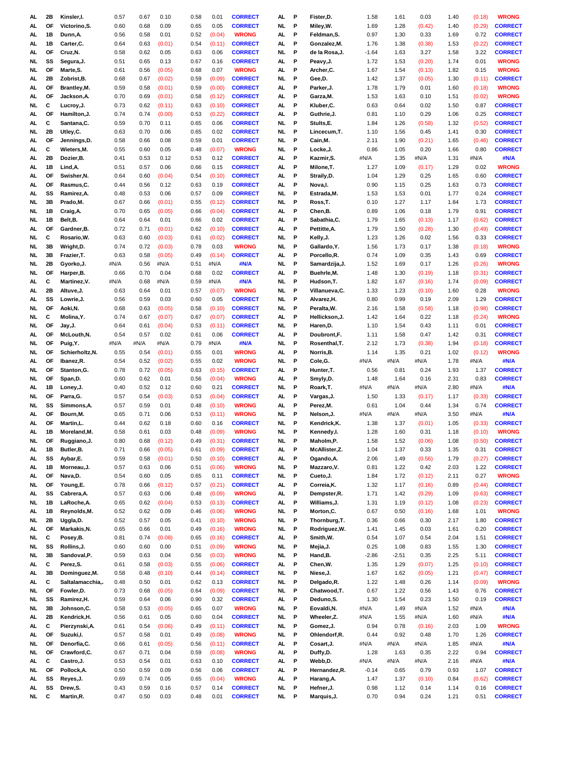| AL.      | 2Β        | Kinsler,I.            | 0.57         | 0.67         | 0.10         | 0.58         | 0.01         | <b>CORRECT</b>                   | AL.             | P      | Fister, D.                | 1.58         | 1.61         | 0.03         | 1.40         | (0.18)       | <b>WRONG</b>                     |
|----------|-----------|-----------------------|--------------|--------------|--------------|--------------|--------------|----------------------------------|-----------------|--------|---------------------------|--------------|--------------|--------------|--------------|--------------|----------------------------------|
| AL.      | OF        | Victorino, S.         | 0.60         | 0.68         | 0.09         | 0.65         | 0.05         | <b>CORRECT</b>                   | NL.             | P      | Miley, W.                 | 1.69         | 1.28         | (0.42)       | 1.40         | (0.29)       | <b>CORRECT</b>                   |
| AL       | 1B        | Dunn, A.              | 0.56         | 0.58         | 0.01         | 0.52         | (0.04)       | <b>WRONG</b>                     | AL              | Ρ      | Feldman, S.               | 0.97         | 1.30         | 0.33         | 1.69         | 0.72         | <b>CORRECT</b>                   |
| AL       | 1B        | Carter, C.            | 0.64         | 0.63         | (0.01)       | 0.54         | (0.11)       | <b>CORRECT</b>                   | AL.             | P      | Gonzalez, M.              | 1.76         | 1.38         | (0.38)       | 1.53         | (0.22)       | <b>CORRECT</b>                   |
| AL.      | ΟF        | Cruz, N.              | 0.58         | 0.62         | 0.05         | 0.63         | 0.06         | <b>CORRECT</b>                   | NL.             | P      | de la Rosa, J.            | $-1.64$      | 1.63         | 3.27         | 1.58         | 3.22         | <b>CORRECT</b>                   |
| NL.      | SS        | Segura, J.            | 0.51         | 0.65         | 0.13         | 0.67         | 0.16         | <b>CORRECT</b>                   | AL.             | P      | Peavy, J.                 | 1.72         | 1.53         | (0.20)       | 1.74         | 0.01         | <b>WRONG</b>                     |
| NL.      | OF        | Marte, S.             | 0.61         | 0.56         | (0.05)       | 0.68         | 0.07         | <b>WRONG</b>                     | AL.             | P      | Archer, C.                | 1.67         | 1.54         | (0.13)       | 1.82         | 0.15         | <b>WRONG</b>                     |
| AL       | 2Β        | Zobrist, B.           | 0.68         | 0.67         | (0.02)       | 0.59         | (0.09)       | <b>CORRECT</b>                   | NL.             | P      | Gee,D.                    | 1.42         | 1.37         | (0.05)       | 1.30         | (0.11)       | <b>CORRECT</b>                   |
|          |           |                       |              |              |              |              |              |                                  |                 |        |                           |              |              |              |              |              |                                  |
| AL       | OF        | Brantley, M.          | 0.59         | 0.58         | (0.01)       | 0.59         | (0.00)       | <b>CORRECT</b>                   | AL              | P      | Parker, J.                | 1.78         | 1.79         | 0.01         | 1.60         | (0.18)       | <b>WRONG</b>                     |
| AL       | OF        | Jackson, A.           | 0.70         | 0.69         | (0.01)       | 0.58         | (0.12)       | <b>CORRECT</b>                   | AL              | P      | Garza, M.                 | 1.53         | 1.63         | 0.10         | 1.51         | (0.02)       | <b>WRONG</b>                     |
| NL.      | С         | Lucroy, J.            | 0.73         | 0.62         | (0.11)       | 0.63         | (0.10)       | <b>CORRECT</b>                   | AL              | P      | Kluber, C.                | 0.63         | 0.64         | 0.02         | 1.50         | 0.87         | <b>CORRECT</b>                   |
| AL       | OF        | Hamilton, J.          | 0.74         | 0.74         | (0.00)       | 0.53         | (0.22)       | <b>CORRECT</b>                   | AL              | P      | Guthrie, J.               | 0.81         | 1.10         | 0.29         | 1.06         | 0.25         | <b>CORRECT</b>                   |
| AL       | С         | Santana, C.           | 0.59         | 0.70         | 0.11         | 0.65         | 0.06         | <b>CORRECT</b>                   | NL.             | P      | Stults,E.                 | 1.84         | 1.26         | (0.58)       | 1.32         | (0.52)       | <b>CORRECT</b>                   |
| NL       | 2Β        | Utley, C.             | 0.63         | 0.70         | 0.06         | 0.65         | 0.02         | <b>CORRECT</b>                   | NL.             | P      | Lincecum, T.              | 1.10         | 1.56         | 0.45         | 1.41         | 0.30         | <b>CORRECT</b>                   |
| AL.      | <b>OF</b> | Jennings, D.          | 0.58         | 0.66         | 0.08         | 0.59         | 0.01         | <b>CORRECT</b>                   | NL.             | P      | Cain, M.                  | 2.11         | 1.90         | (0.21)       | 1.65         | (0.46)       | <b>CORRECT</b>                   |
| AL       | С         | Wieters, M.           | 0.55         | 0.60         | 0.05         | 0.48         | (0.07)       | <b>WRONG</b>                     | NL.             | P      | Locke, J.                 | 0.86         | 1.05         | 0.20         | 1.66         | 0.80         | <b>CORRECT</b>                   |
| AL       | 2Β        | Dozier, B.            | 0.41         | 0.53         | 0.12         | 0.53         | 0.12         | <b>CORRECT</b>                   | AL              | P      | Kazmir, S.                | #N/A         | 1.35         | #N/A         | 1.31         | #N/A         | #N/A                             |
| AL       | 1B        | Lind, A.              | 0.51         | 0.57         | 0.06         | 0.66         | 0.15         | <b>CORRECT</b>                   | AL.             | P      | Milone, T.                | 1.27         | 1.09         | (0.17)       | 1.29         | 0.02         | <b>WRONG</b>                     |
| AL.      | OF        | Swisher, N.           | 0.64         | 0.60         | (0.04)       | 0.54         | (0.10)       | <b>CORRECT</b>                   | AL.             | P      | Straily, D.               | 1.04         | 1.29         | 0.25         | 1.65         | 0.60         | <b>CORRECT</b>                   |
| AL.      | ΟF        | Rasmus,C.             | 0.44         | 0.56         | 0.12         | 0.63         | 0.19         | <b>CORRECT</b>                   | AL.             | P      | Nova, I.                  | 0.90         | 1.15         | 0.25         | 1.63         | 0.73         | <b>CORRECT</b>                   |
| AL       | SS        | Ramirez, A.           | 0.48         | 0.53         | 0.06         | 0.57         | 0.09         | <b>CORRECT</b>                   | NL.             | P      | Estrada, M.               | 1.53         | 1.53         | 0.01         | 1.77         | 0.24         | <b>CORRECT</b>                   |
| NL       | 3B        | Prado, M.             | 0.67         | 0.66         | (0.01)       | 0.55         | (0.12)       | <b>CORRECT</b>                   | NL              | P      | Ross, T.                  | 0.10         | 1.27         | 1.17         | 1.84         | 1.73         | <b>CORRECT</b>                   |
| NL       | 1B        | Craig, A.             | 0.70         | 0.65         | (0.05)       | 0.66         | (0.04)       | <b>CORRECT</b>                   | AL.             | P      | Chen, B.                  | 0.89         | 1.06         | 0.18         | 1.79         | 0.91         | <b>CORRECT</b>                   |
| NL       | 1B        | Belt, B.              | 0.64         | 0.64         | 0.01         | 0.66         | 0.02         | <b>CORRECT</b>                   | AL              | P      | Sabathia, C.              | 1.79         | 1.65         | (0.13)       | 1.17         | (0.62)       | <b>CORRECT</b>                   |
| AL       | OF        | Gardner, B.           | 0.72         | 0.71         | (0.01)       | 0.62         | (0.10)       | <b>CORRECT</b>                   | AL              | P      | Pettitte, A.              | 1.79         | 1.50         | (0.28)       | 1.30         | (0.49)       | <b>CORRECT</b>                   |
|          |           |                       |              |              |              |              |              |                                  |                 |        |                           |              |              |              |              |              |                                  |
| NL       | С         | Rosario, W.           | 0.63         | 0.60         | (0.03)       | 0.61         | (0.02)       | <b>CORRECT</b>                   | NL              | P      | Kelly, J.                 | 1.23         | 1.26         | 0.02         | 1.56         | 0.33         | <b>CORRECT</b>                   |
| NL       | 3B        | Wright, D.            | 0.74         | 0.72         | (0.03)       | 0.78         | 0.03         | <b>WRONG</b>                     | NL              | P      | Gallardo, Y.              | 1.56         | 1.73         | 0.17         | 1.38         | (0.18)       | <b>WRONG</b>                     |
| NL       | 3B        | Frazier, T.           | 0.63         | 0.58         | (0.05)       | 0.49         | (0.14)       | <b>CORRECT</b>                   | AL.             | P      | Porcello,R.               | 0.74         | 1.09         | 0.35         | 1.43         | 0.69         | <b>CORRECT</b>                   |
| NL       | 2Β        | Gyorko, J.            | #N/A         | 0.56         | #N/A         | 0.51         | #N/A         | #N/A                             | NL.             | P      | Samardzija, J.            | 1.52         | 1.69         | 0.17         | 1.26         | (0.26)       | <b>WRONG</b>                     |
| NL.      | OF        | Harper, B.            | 0.66         | 0.70         | 0.04         | 0.68         | 0.02         | <b>CORRECT</b>                   | AL.             | P      | Buehrle, M.               | 1.48         | 1.30         | (0.19)       | 1.18         | (0.31)       | <b>CORRECT</b>                   |
| AL       | С         | Martinez, V.          | #N/A         | 0.68         | #N/A         | 0.59         | #N/A         | #N/A                             | NL              | P      | Hudson, T.                | 1.82         | 1.67         | (0.16)       | 1.74         | (0.09)       | <b>CORRECT</b>                   |
| AL       | 2B        | Altuve, J.            | 0.63         | 0.64         | 0.01         | 0.57         | (0.07)       | <b>WRONG</b>                     | NL              | P      | Villanueva, C.            | 1.33         | 1.23         | (0.10)       | 1.60         | 0.28         | <b>WRONG</b>                     |
| AL       | SS        | Lowrie, J.            | 0.56         | 0.59         | 0.03         | 0.60         | 0.05         | <b>CORRECT</b>                   | NL.             | P      | Alvarez, H.               | 0.80         | 0.99         | 0.19         | 2.09         | 1.29         | <b>CORRECT</b>                   |
| NL.      | OF        | Aoki, N.              | 0.68         | 0.63         | (0.05)       | 0.58         | (0.10)       | <b>CORRECT</b>                   | NL.             | P      | Peralta, W.               | 2.16         | 1.58         | (0.58)       | 1.18         | (0.98)       | <b>CORRECT</b>                   |
| NL.      | С         | Molina, Y.            | 0.74         | 0.67         | (0.07)       | 0.67         | (0.07)       | <b>CORRECT</b>                   | AL.             | P      | Hellickson, J.            | 1.42         | 1.64         | 0.22         | 1.18         | (0.24)       | <b>WRONG</b>                     |
| NL.      | OF        | Jay,J.                | 0.64         | 0.61         | (0.04)       | 0.53         | (0.11)       | <b>CORRECT</b>                   | NL.             | P      | Haren, D.                 | 1.10         | 1.54         | 0.43         | 1.11         | 0.01         | <b>CORRECT</b>                   |
| AL       | OF        | McLouth, N.           | 0.54         | 0.57         | 0.02         | 0.61         | 0.06         | <b>CORRECT</b>                   | AL              | P      | Doubront,F.               | 1.11         | 1.58         | 0.47         | 1.42         | 0.31         | <b>CORRECT</b>                   |
|          |           | Puig, Y.              | #N/A         | #N/A         | #N/A         | 0.79         | #N/A         | #N/A                             | NL.             | P      | Rosenthal, T.             | 2.12         | 1.73         | (0.38)       | 1.94         | (0.18)       | <b>CORRECT</b>                   |
| NL.      | ΟF        |                       |              |              |              |              |              |                                  |                 |        |                           |              |              |              |              |              |                                  |
| NL       | OF        | Schierholtz, N.       | 0.55         | 0.54         | (0.01)       | 0.55         | 0.01         | <b>WRONG</b>                     | AL              | P      | Norris, B.                | 1.14         | 1.35         | 0.21         | 1.02         | (0.12)       | <b>WRONG</b>                     |
|          | OF        |                       | 0.54         |              |              |              | 0.02         | <b>WRONG</b>                     |                 | P      |                           |              | #N/A         |              |              | #N/A         |                                  |
| AL       |           | Ibanez, R.            |              | 0.52         | (0.02)       | 0.55         |              |                                  | NL              |        | Cole, G.                  | #N/A         |              | #N/A         | 1.78         |              | #N/A                             |
| NL       | OF        | Stanton, G.           | 0.78         | 0.72         | (0.05)       | 0.63         | (0.15)       | <b>CORRECT</b>                   | AL              | P      | Hunter, T.                | 0.56         | 0.81         | 0.24         | 1.93         | 1.37         | <b>CORRECT</b>                   |
| NL       | OF        | Span,D.               | 0.60         | 0.62         | 0.01         | 0.56         | (0.04)       | <b>WRONG</b>                     | AL              | P      | Smyly,D.                  | 1.48         | 1.64         | 0.16         | 2.31         | 0.83         | <b>CORRECT</b>                   |
| AL.      | 1B        | Loney, J.             | 0.40         | 0.52         | 0.12         | 0.60         | 0.21         | <b>CORRECT</b>                   | NL.             | P      | Roark, T.                 | #N/A         | #N/A         | #N/A         | 2.80         | #N/A         | #N/A                             |
| NL.      | ΟF        | Parra, G.             | 0.57         | 0.54         | (0.03)       | 0.53         | (0.04)       | <b>CORRECT</b>                   | AL.             | P      | Vargas, J.                | 1.50         | 1.33         | (0.17)       | 1.17         | (0.33)       | <b>CORRECT</b>                   |
| NL       | SS        | Simmons, A.           | 0.57         | 0.59         | 0.01         | 0.48         | (0.10)       | <b>WRONG</b>                     | AL              | P      | Perez, M.                 | 0.61         | 1.04         | 0.44         | 1.34         | 0.74         | <b>CORRECT</b>                   |
| AL       | OF        | Bourn, M.             | 0.65         | 0.71         | 0.06         | 0.53         | (0.11)       | <b>WRONG</b>                     | NL.             | P      | Nelson, J.                | #N/A         | #N/A         | #N/A         | 3.50         | #N/A         | #N/A                             |
| AL.      | ΟF        | Martin, L.            | 0.44         | 0.62         | 0.18         | 0.60         | 0.16         | <b>CORRECT</b>                   | NL.             | P      | Kendrick, K.              | 1.38         | 1.37         | (0.01)       | 1.05         | (0.33)       | <b>CORRECT</b>                   |
| AL.      | 1B        | Moreland, M.          | 0.58         | 0.61         | 0.03         | 0.48         | (0.09)       | <b>WRONG</b>                     | NL.             | P      | Kennedy,I.                | 1.28         | 1.60         | 0.31         | 1.18         | (0.10)       | <b>WRONG</b>                     |
| NL       | ΟF        | Ruggiano.J.           | 0.80         | 0.68         | (0.12)       | 0.49         | (0.31)       | <b>CORRECT</b>                   | <b>NL</b>       | P      | Maholm,P.                 | 1.58         | 1.52         | (0.06)       | 1.08         | (0.50)       | <b>CORRECT</b>                   |
| AL       | 1B        | Butler, B.            | 0.71         | 0.66         | (0.05)       | 0.61         | (0.09)       | <b>CORRECT</b>                   | AL              | P      | McAllister, Z.            | 1.04         | 1.37         | 0.33         | 1.35         | 0.31         | <b>CORRECT</b>                   |
| AL       | SS        | Aybar, E.             | 0.59         | 0.58         | (0.01)       | 0.50         | (0.10)       | <b>CORRECT</b>                   | AL              | P      | Ogando, A.                | 2.06         | 1.49         | (0.56)       | 1.79         | (0.27)       | <b>CORRECT</b>                   |
| AL.      | 1B        | Morneau, J.           | 0.57         | 0.63         | 0.06         | 0.51         | (0.06)       | <b>WRONG</b>                     | NL              | P      | Mazzaro, V.               | 0.81         | 1.22         | 0.42         | 2.03         | 1.22         | <b>CORRECT</b>                   |
| AL.      | OF        | Nava, D.              | 0.54         | 0.60         | 0.05         | 0.65         | 0.11         | <b>CORRECT</b>                   | <b>NL</b>       | P      | Cueto, J.                 | 1.84         | 1.72         | (0.12)       | 2.11         | 0.27         | <b>WRONG</b>                     |
| NL       | OF        | Young,E.              | 0.78         | 0.66         | (0.12)       | 0.57         | (0.21)       | <b>CORRECT</b>                   | AL              | P      | Correia, K.               | 1.32         | 1.17         | (0.16)       | 0.89         | (0.44)       | <b>CORRECT</b>                   |
| AL.      | SS        | Cabrera, A.           | 0.57         | 0.63         | 0.06         | 0.48         | (0.09)       | <b>WRONG</b>                     | AL              | P      | Dempster, R.              | 1.71         | 1.42         | (0.29)       | 1.09         | (0.63)       | <b>CORRECT</b>                   |
| NL.      | 1B        | LaRoche, A.           | 0.65         | 0.62         | (0.04)       | 0.53         | (0.13)       | <b>CORRECT</b>                   | AL.             | P      | Williams, J.              | 1.31         | 1.19         | (0.12)       | 1.08         | (0.23)       | <b>CORRECT</b>                   |
| AL.      | 1B        | Reynolds, M.          | 0.52         | 0.62         | 0.09         | 0.46         | (0.06)       | <b>WRONG</b>                     | <b>NL</b>       | P      | Morton, C.                | 0.67         | 0.50         | (0.16)       | 1.68         | 1.01         | <b>WRONG</b>                     |
| NL       | 2B        | Uggla, D.             | 0.52         | 0.57         | 0.05         | 0.41         | (0.10)       | <b>WRONG</b>                     | NL              | P      | Thornburg, T.             | 0.36         | 0.66         | 0.30         | 2.17         | 1.80         | <b>CORRECT</b>                   |
| AL.      | OF        | Markakis, N.          | 0.65         | 0.66         | 0.01         | 0.49         | (0.16)       | <b>WRONG</b>                     | <b>NL</b>       | P      | Rodriguez, W.             | 1.41         | 1.45         | 0.03         | 1.61         | 0.20         | <b>CORRECT</b>                   |
| NL       | с         | Posey, B.             | 0.81         | 0.74         | (0.08)       | 0.65         | (0.16)       | <b>CORRECT</b>                   | AL              | P      | Smith, W.                 | 0.54         | 1.07         | 0.54         | 2.04         | 1.51         | <b>CORRECT</b>                   |
| NL       | SS        | Rollins, J.           | 0.60         | 0.60         | 0.00         | 0.51         | (0.09)       | <b>WRONG</b>                     | <b>NL</b>       | P      | Mejia, J.                 | 0.25         | 1.08         | 0.83         | 1.55         | 1.30         | <b>CORRECT</b>                   |
| NL       | 3B        | Sandoval, P.          | 0.59         | 0.63         | 0.04         | 0.56         | (0.03)       | <b>WRONG</b>                     | <b>NL</b>       | P      | Hand, B.                  | $-2.86$      | $-2.51$      | 0.35         | 2.25         | 5.11         | <b>CORRECT</b>                   |
| AL.      | с         | Perez.S.              | 0.61         | 0.58         | (0.03)       | 0.55         | (0.06)       | <b>CORRECT</b>                   | AL              | P      | Chen, W.                  | 1.35         | 1.29         | (0.07)       | 1.25         | (0.10)       | <b>CORRECT</b>                   |
| AL.      | 3B        | Dominguez, M.         | 0.58         | 0.48         | (0.10)       | 0.44         | (0.14)       | <b>CORRECT</b>                   | NL              | P      | Niese, J.                 | 1.67         | 1.62         | (0.05)       | 1.21         | (0.47)       | <b>CORRECT</b>                   |
| AL.      | с         | Saltalamacchia,       | 0.48         | 0.50         | 0.01         | 0.62         | 0.13         | <b>CORRECT</b>                   | NL              | P      | Delgado, R.               | 1.22         | 1.48         | 0.26         | 1.14         | (0.09)       | <b>WRONG</b>                     |
| NL       | OF        | Fowler, D.            | 0.73         | 0.68         | (0.05)       | 0.64         | (0.09)       | <b>CORRECT</b>                   | NL              | P      | Chatwood, T.              | 0.67         | 1.22         | 0.56         | 1.43         | 0.76         | <b>CORRECT</b>                   |
| NL       | SS        | Ramirez, H.           | 0.59         | 0.64         | 0.06         | 0.90         | 0.32         |                                  | AL              | P      | Deduno, S.                | 1.30         |              | 0.23         |              | 0.19         | <b>CORRECT</b>                   |
|          |           |                       |              |              |              |              |              | <b>CORRECT</b>                   |                 |        |                           |              | 1.54         |              | 1.50         |              |                                  |
| NL       | 3B        | Johnson,C.            | 0.58         | 0.53         | (0.05)       | 0.65         | 0.07         | <b>WRONG</b>                     | <b>NL</b>       | P      | Eovaldi, N.               | #N/A         | 1.49         | #N/A         | 1.52         | #N/A         | #N/A                             |
| AL.      | 2Β        | Kendrick, H.          | 0.56         | 0.61         | 0.05         | 0.60         | 0.04         | <b>CORRECT</b>                   | <b>NL</b>       | P      | Wheeler, Z.               | #N/A         | 1.55         | #N/A         | 1.60         | #N/A         | #N/A                             |
| AL.      | С         | Pierzynski, A.        | 0.61         | 0.54         | (0.06)       | 0.49         | (0.11)       | <b>CORRECT</b>                   | NL.             | P      | Gomez, J.                 | 0.94         | 0.78         | (0.16)       | 2.03         | 1.09         | <b>WRONG</b>                     |
| AL       | ΟF        | Suzuki,l.             | 0.57         | 0.58         | 0.01         | 0.49         | (0.08)       | <b>WRONG</b>                     | NL              | P      | Ohlendorf, R.             | 0.44         | 0.92         | 0.48         | 1.70         | 1.26         | <b>CORRECT</b>                   |
| NL       | OF        | Denorfia, C.          | 0.66         | 0.61         | (0.05)       | 0.56         | (0.11)       | <b>CORRECT</b>                   | AL              | P      | Cosart, J.                | #N/A         | #N/A         | #N/A         | 1.85         | #N/A         | #N/A                             |
| NL       | OF        | Crawford, C.          | 0.67         | 0.71         | 0.04         | 0.59         | (0.08)       | <b>WRONG</b>                     | AL.             | P      | Duffy,D.                  | 1.28         | 1.63         | 0.35         | 2.22         | 0.94         | <b>CORRECT</b>                   |
| AL       | с         | Castro, J.            | 0.53         | 0.54         | 0.01         | 0.63         | 0.10         | <b>CORRECT</b>                   | AL              | P      | Webb,D.                   | #N/A         | #N/A         | #N/A         | 2.16         | #N/A         | #N/A                             |
| NL       | OF        | Pollock, A.           | 0.50         | 0.59         | 0.09         | 0.56         | 0.06         | <b>CORRECT</b>                   | AL              | P      | Hernandez, R.             | $-0.14$      | 0.65         | 0.79         | 0.93         | 1.07         | <b>CORRECT</b>                   |
| AL       | SS        | Reyes, J.             | 0.69         | 0.74         | 0.05         | 0.65         | (0.04)       | <b>WRONG</b>                     | AL.             | P      | Harang, A.                | 1.47         | 1.37         | (0.10)       | 0.84         | (0.62)       | <b>CORRECT</b>                   |
| AL<br>NL | SS<br>C   | Drew,S.<br>Martin, R. | 0.43<br>0.47 | 0.59<br>0.50 | 0.16<br>0.03 | 0.57<br>0.48 | 0.14<br>0.01 | <b>CORRECT</b><br><b>CORRECT</b> | <b>NL</b><br>NL | P<br>P | Hefner, J.<br>Marquis, J. | 0.98<br>0.70 | 1.12<br>0.94 | 0.14<br>0.24 | 1.14<br>1.21 | 0.16<br>0.51 | <b>CORRECT</b><br><b>CORRECT</b> |